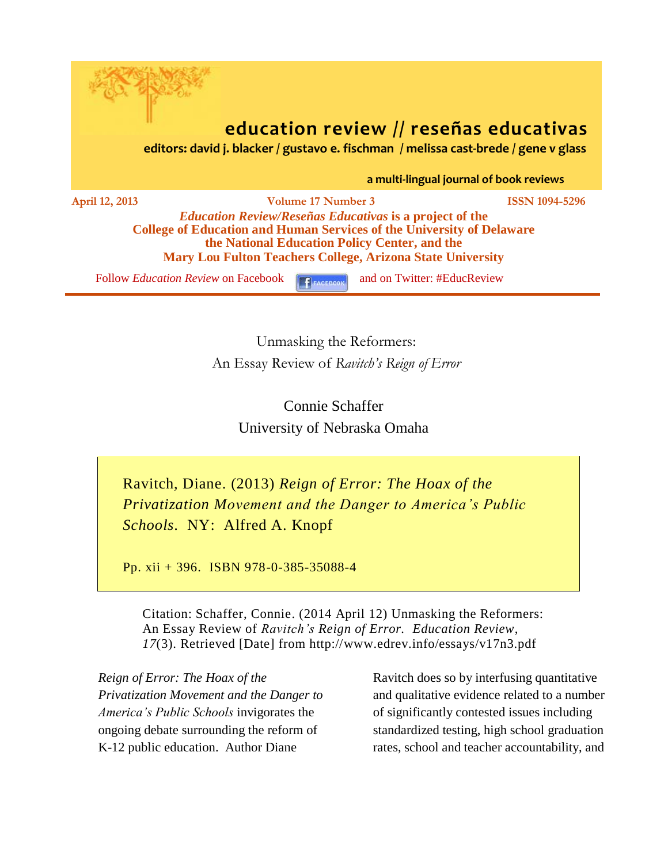

# **education review // reseñas educativas**

 **editors: david j. blacker / gustavo e. fischman / melissa cast-brede / gene v glass**

 **a multi-lingual journal of book reviews**

**April 12, 2013 Volume 17 Number 3 ISSN 1094-5296** *Education Review/Reseñas Educativas* **is a project of the College of Education and Human Services of the University of Delaware the National Education Policy Center, and the Mary Lou Fulton Teachers College, Arizona State University**

Follow *[Education Review](http://www.facebook.com/pages/Education-Review/178358222192644)* on Facebook **F**<sub>FACEBOOK</sub> and on Twitter: #EducReview

Unmasking the Reformers: An Essay Review of *Ravitch's Reign of Error*

> Connie Schaffer University of Nebraska Omaha

Ravitch, Diane. (2013) *Reign of Error: The Hoax of the Privatization Movement and the Danger to America's Public Schools*. NY: Alfred A. Knopf

Pp. xii + 396. ISBN 978-0-385-35088-4

Citation: Schaffer, Connie. (2014 April 12) Unmasking the Reformers: An Essay Review of *Ravitch's Reign of Error. Education Review*, *17*(3). Retrieved [Date] from http://www.edrev.info/essays/v17n3.pdf

*Reign of Error: The Hoax of the Privatization Movement and the Danger to America's Public Schools* invigorates the ongoing debate surrounding the reform of K-12 public education. Author Diane

Ravitch does so by interfusing quantitative and qualitative evidence related to a number of significantly contested issues including standardized testing, high school graduation rates, school and teacher accountability, and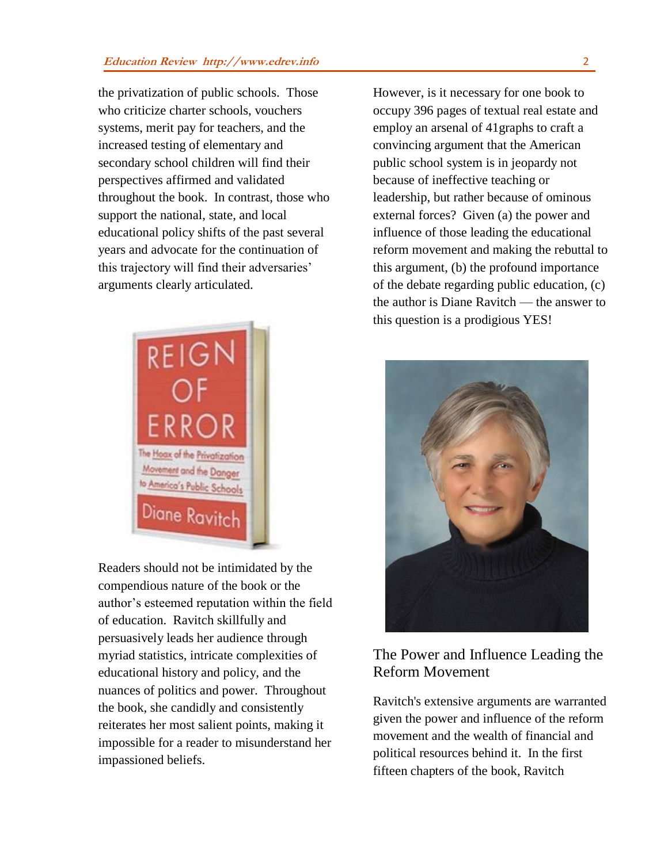the privatization of public schools. Those who criticize charter schools, vouchers systems, merit pay for teachers, and the increased testing of elementary and secondary school children will find their perspectives affirmed and validated throughout the book. In contrast, those who support the national, state, and local educational policy shifts of the past several years and advocate for the continuation of this trajectory will find their adversaries' arguments clearly articulated.



Readers should not be intimidated by the compendious nature of the book or the author's esteemed reputation within the field of education. Ravitch skillfully and persuasively leads her audience through myriad statistics, intricate complexities of educational history and policy, and the nuances of politics and power. Throughout the book, she candidly and consistently reiterates her most salient points, making it impossible for a reader to misunderstand her impassioned beliefs.

However, is it necessary for one book to occupy 396 pages of textual real estate and employ an arsenal of 41graphs to craft a convincing argument that the American public school system is in jeopardy not because of ineffective teaching or leadership, but rather because of ominous external forces? Given (a) the power and influence of those leading the educational reform movement and making the rebuttal to this argument, (b) the profound importance of the debate regarding public education, (c) the author is Diane Ravitch — the answer to this question is a prodigious YES!



## The Power and Influence Leading the Reform Movement

Ravitch's extensive arguments are warranted given the power and influence of the reform movement and the wealth of financial and political resources behind it. In the first fifteen chapters of the book, Ravitch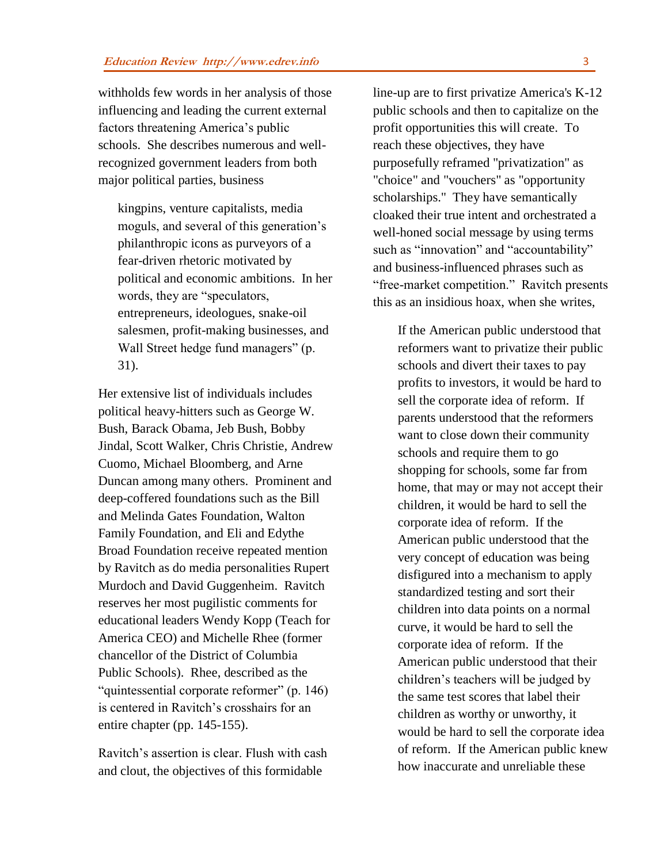withholds few words in her analysis of those influencing and leading the current external factors threatening America's public schools. She describes numerous and wellrecognized government leaders from both major political parties, business

kingpins, venture capitalists, media moguls, and several of this generation's philanthropic icons as purveyors of a fear-driven rhetoric motivated by political and economic ambitions. In her words, they are "speculators, entrepreneurs, ideologues, snake-oil salesmen, profit-making businesses, and Wall Street hedge fund managers" (p. 31).

Her extensive list of individuals includes political heavy-hitters such as George W. Bush, Barack Obama, Jeb Bush, Bobby Jindal, Scott Walker, Chris Christie, Andrew Cuomo, Michael Bloomberg, and Arne Duncan among many others. Prominent and deep-coffered foundations such as the Bill and Melinda Gates Foundation, Walton Family Foundation, and Eli and Edythe Broad Foundation receive repeated mention by Ravitch as do media personalities Rupert Murdoch and David Guggenheim. Ravitch reserves her most pugilistic comments for educational leaders Wendy Kopp (Teach for America CEO) and Michelle Rhee (former chancellor of the District of Columbia Public Schools). Rhee, described as the "quintessential corporate reformer" (p. 146) is centered in Ravitch's crosshairs for an entire chapter (pp. 145-155).

Ravitch's assertion is clear. Flush with cash and clout, the objectives of this formidable

line-up are to first privatize America's K-12 public schools and then to capitalize on the profit opportunities this will create. To reach these objectives, they have purposefully reframed "privatization" as "choice" and "vouchers" as "opportunity scholarships." They have semantically cloaked their true intent and orchestrated a well-honed social message by using terms such as "innovation" and "accountability" and business-influenced phrases such as "free-market competition." Ravitch presents this as an insidious hoax, when she writes,

If the American public understood that reformers want to privatize their public schools and divert their taxes to pay profits to investors, it would be hard to sell the corporate idea of reform. If parents understood that the reformers want to close down their community schools and require them to go shopping for schools, some far from home, that may or may not accept their children, it would be hard to sell the corporate idea of reform. If the American public understood that the very concept of education was being disfigured into a mechanism to apply standardized testing and sort their children into data points on a normal curve, it would be hard to sell the corporate idea of reform. If the American public understood that their children's teachers will be judged by the same test scores that label their children as worthy or unworthy, it would be hard to sell the corporate idea of reform. If the American public knew how inaccurate and unreliable these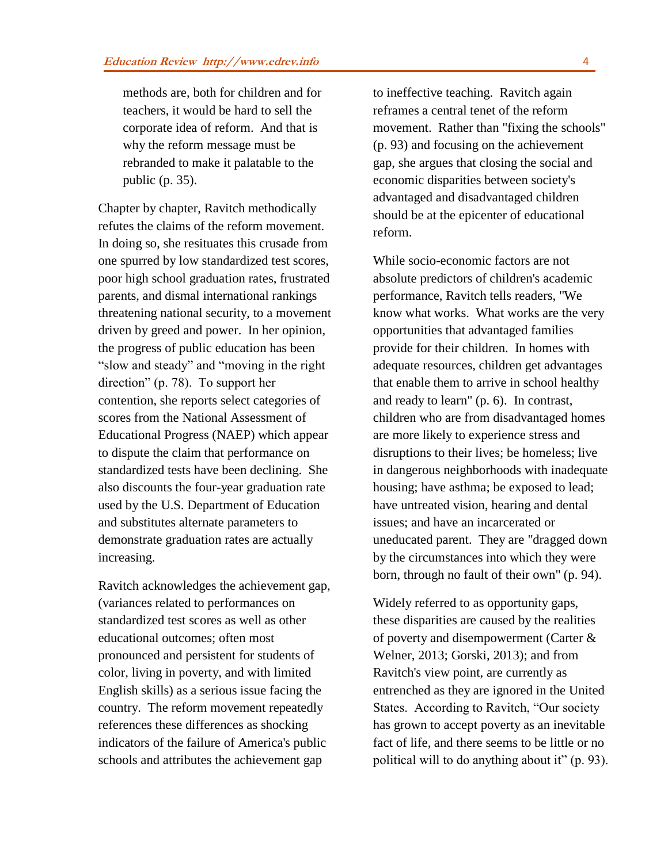methods are, both for children and for teachers, it would be hard to sell the corporate idea of reform. And that is why the reform message must be rebranded to make it palatable to the public (p. 35).

Chapter by chapter, Ravitch methodically refutes the claims of the reform movement. In doing so, she resituates this crusade from one spurred by low standardized test scores, poor high school graduation rates, frustrated parents, and dismal international rankings threatening national security, to a movement driven by greed and power. In her opinion, the progress of public education has been "slow and steady" and "moving in the right direction" (p. 78). To support her contention, she reports select categories of scores from the National Assessment of Educational Progress (NAEP) which appear to dispute the claim that performance on standardized tests have been declining. She also discounts the four-year graduation rate used by the U.S. Department of Education and substitutes alternate parameters to demonstrate graduation rates are actually increasing.

Ravitch acknowledges the achievement gap, (variances related to performances on standardized test scores as well as other educational outcomes; often most pronounced and persistent for students of color, living in poverty, and with limited English skills) as a serious issue facing the country. The reform movement repeatedly references these differences as shocking indicators of the failure of America's public schools and attributes the achievement gap

to ineffective teaching. Ravitch again reframes a central tenet of the reform movement. Rather than "fixing the schools" (p. 93) and focusing on the achievement gap, she argues that closing the social and economic disparities between society's advantaged and disadvantaged children should be at the epicenter of educational reform.

While socio-economic factors are not absolute predictors of children's academic performance, Ravitch tells readers, "We know what works. What works are the very opportunities that advantaged families provide for their children. In homes with adequate resources, children get advantages that enable them to arrive in school healthy and ready to learn" (p. 6). In contrast, children who are from disadvantaged homes are more likely to experience stress and disruptions to their lives; be homeless; live in dangerous neighborhoods with inadequate housing; have asthma; be exposed to lead; have untreated vision, hearing and dental issues; and have an incarcerated or uneducated parent. They are "dragged down by the circumstances into which they were born, through no fault of their own" (p. 94).

Widely referred to as opportunity gaps, these disparities are caused by the realities of poverty and disempowerment (Carter & Welner, 2013; Gorski, 2013); and from Ravitch's view point, are currently as entrenched as they are ignored in the United States. According to Ravitch, "Our society has grown to accept poverty as an inevitable fact of life, and there seems to be little or no political will to do anything about it" (p. 93).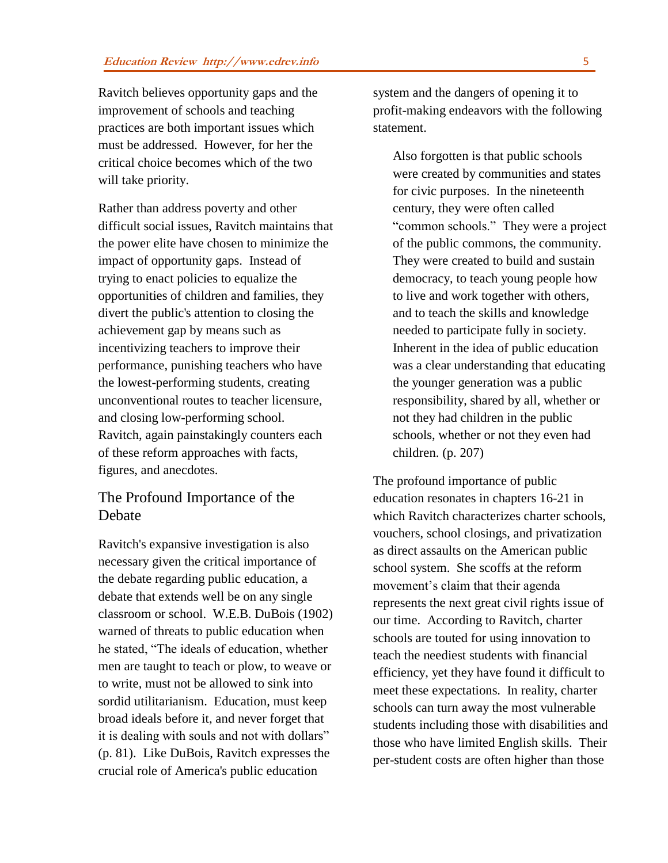Ravitch believes opportunity gaps and the improvement of schools and teaching practices are both important issues which must be addressed. However, for her the critical choice becomes which of the two will take priority.

Rather than address poverty and other difficult social issues, Ravitch maintains that the power elite have chosen to minimize the impact of opportunity gaps. Instead of trying to enact policies to equalize the opportunities of children and families, they divert the public's attention to closing the achievement gap by means such as incentivizing teachers to improve their performance, punishing teachers who have the lowest-performing students, creating unconventional routes to teacher licensure, and closing low-performing school. Ravitch, again painstakingly counters each of these reform approaches with facts, figures, and anecdotes.

#### The Profound Importance of the Debate

Ravitch's expansive investigation is also necessary given the critical importance of the debate regarding public education, a debate that extends well be on any single classroom or school. W.E.B. DuBois (1902) warned of threats to public education when he stated, "The ideals of education, whether men are taught to teach or plow, to weave or to write, must not be allowed to sink into sordid utilitarianism. Education, must keep broad ideals before it, and never forget that it is dealing with souls and not with dollars" (p. 81). Like DuBois, Ravitch expresses the crucial role of America's public education

system and the dangers of opening it to profit-making endeavors with the following statement.

Also forgotten is that public schools were created by communities and states for civic purposes. In the nineteenth century, they were often called "common schools." They were a project of the public commons, the community. They were created to build and sustain democracy, to teach young people how to live and work together with others, and to teach the skills and knowledge needed to participate fully in society. Inherent in the idea of public education was a clear understanding that educating the younger generation was a public responsibility, shared by all, whether or not they had children in the public schools, whether or not they even had children. (p. 207)

The profound importance of public education resonates in chapters 16-21 in which Ravitch characterizes charter schools, vouchers, school closings, and privatization as direct assaults on the American public school system. She scoffs at the reform movement's claim that their agenda represents the next great civil rights issue of our time. According to Ravitch, charter schools are touted for using innovation to teach the neediest students with financial efficiency, yet they have found it difficult to meet these expectations. In reality, charter schools can turn away the most vulnerable students including those with disabilities and those who have limited English skills. Their per-student costs are often higher than those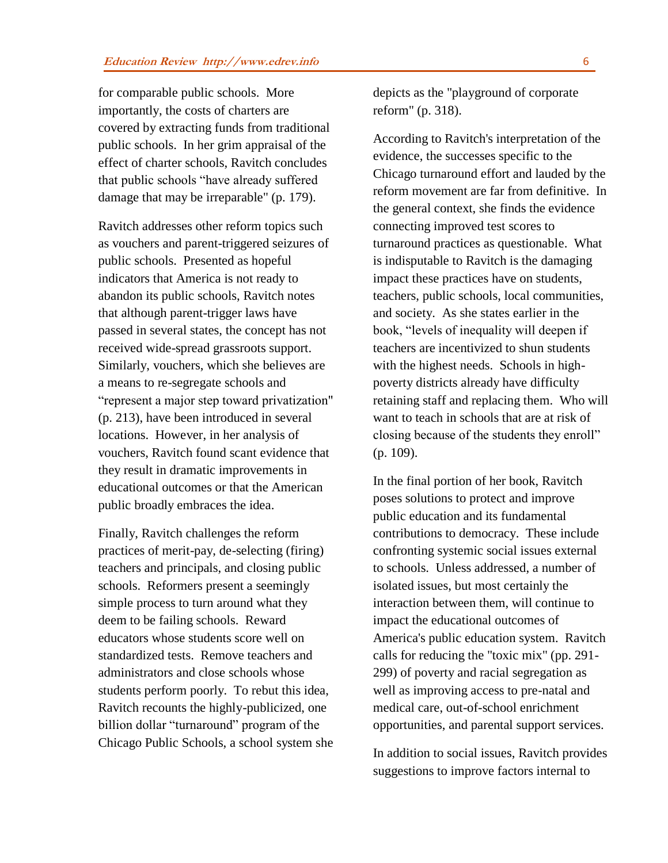for comparable public schools. More importantly, the costs of charters are covered by extracting funds from traditional public schools. In her grim appraisal of the effect of charter schools, Ravitch concludes that public schools "have already suffered damage that may be irreparable" (p. 179).

Ravitch addresses other reform topics such as vouchers and parent-triggered seizures of public schools. Presented as hopeful indicators that America is not ready to abandon its public schools, Ravitch notes that although parent-trigger laws have passed in several states, the concept has not received wide-spread grassroots support. Similarly, vouchers, which she believes are a means to re-segregate schools and "represent a major step toward privatization" (p. 213), have been introduced in several locations. However, in her analysis of vouchers, Ravitch found scant evidence that they result in dramatic improvements in educational outcomes or that the American public broadly embraces the idea.

Finally, Ravitch challenges the reform practices of merit-pay, de-selecting (firing) teachers and principals, and closing public schools. Reformers present a seemingly simple process to turn around what they deem to be failing schools. Reward educators whose students score well on standardized tests. Remove teachers and administrators and close schools whose students perform poorly. To rebut this idea, Ravitch recounts the highly-publicized, one billion dollar "turnaround" program of the Chicago Public Schools, a school system she depicts as the "playground of corporate reform" (p. 318).

According to Ravitch's interpretation of the evidence, the successes specific to the Chicago turnaround effort and lauded by the reform movement are far from definitive. In the general context, she finds the evidence connecting improved test scores to turnaround practices as questionable. What is indisputable to Ravitch is the damaging impact these practices have on students, teachers, public schools, local communities, and society. As she states earlier in the book, "levels of inequality will deepen if teachers are incentivized to shun students with the highest needs. Schools in highpoverty districts already have difficulty retaining staff and replacing them. Who will want to teach in schools that are at risk of closing because of the students they enroll" (p. 109).

In the final portion of her book, Ravitch poses solutions to protect and improve public education and its fundamental contributions to democracy. These include confronting systemic social issues external to schools. Unless addressed, a number of isolated issues, but most certainly the interaction between them, will continue to impact the educational outcomes of America's public education system. Ravitch calls for reducing the "toxic mix" (pp. 291- 299) of poverty and racial segregation as well as improving access to pre-natal and medical care, out-of-school enrichment opportunities, and parental support services.

In addition to social issues, Ravitch provides suggestions to improve factors internal to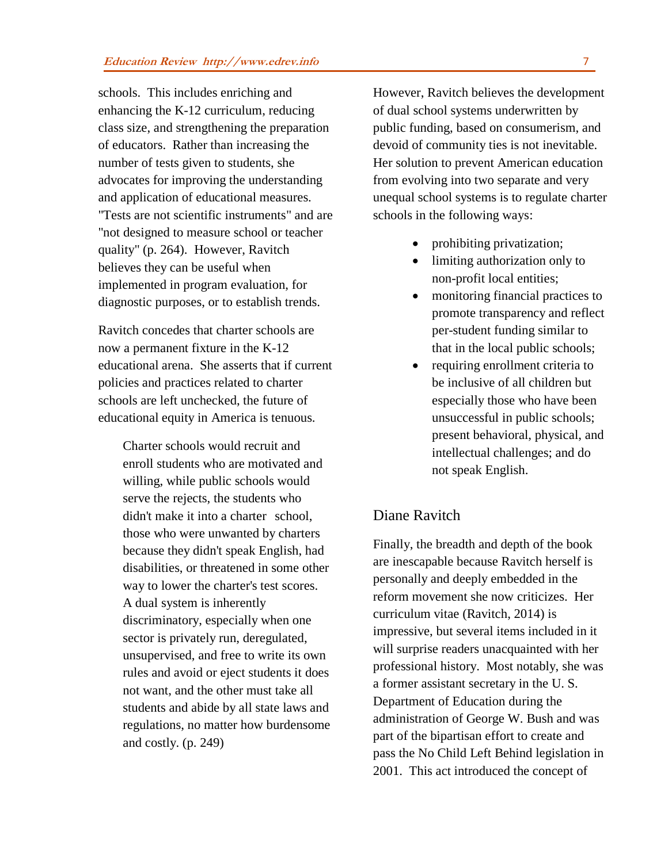schools. This includes enriching and enhancing the K-12 curriculum, reducing class size, and strengthening the preparation of educators. Rather than increasing the number of tests given to students, she advocates for improving the understanding and application of educational measures. "Tests are not scientific instruments" and are "not designed to measure school or teacher quality" (p. 264). However, Ravitch believes they can be useful when implemented in program evaluation, for diagnostic purposes, or to establish trends.

Ravitch concedes that charter schools are now a permanent fixture in the K-12 educational arena. She asserts that if current policies and practices related to charter schools are left unchecked, the future of educational equity in America is tenuous.

> Charter schools would recruit and enroll students who are motivated and willing, while public schools would serve the rejects, the students who didn't make it into a charter school, those who were unwanted by charters because they didn't speak English, had disabilities, or threatened in some other way to lower the charter's test scores. A dual system is inherently discriminatory, especially when one sector is privately run, deregulated, unsupervised, and free to write its own rules and avoid or eject students it does not want, and the other must take all students and abide by all state laws and regulations, no matter how burdensome and costly. (p. 249)

However, Ravitch believes the development of dual school systems underwritten by public funding, based on consumerism, and devoid of community ties is not inevitable. Her solution to prevent American education from evolving into two separate and very unequal school systems is to regulate charter schools in the following ways:

- prohibiting privatization;
- limiting authorization only to non-profit local entities;
- monitoring financial practices to promote transparency and reflect per-student funding similar to that in the local public schools;
- requiring enrollment criteria to be inclusive of all children but especially those who have been unsuccessful in public schools; present behavioral, physical, and intellectual challenges; and do not speak English.

### Diane Ravitch

Finally, the breadth and depth of the book are inescapable because Ravitch herself is personally and deeply embedded in the reform movement she now criticizes. Her curriculum vitae (Ravitch, 2014) is impressive, but several items included in it will surprise readers unacquainted with her professional history. Most notably, she was a former assistant secretary in the U. S. Department of Education during the administration of George W. Bush and was part of the bipartisan effort to create and pass the No Child Left Behind legislation in 2001. This act introduced the concept of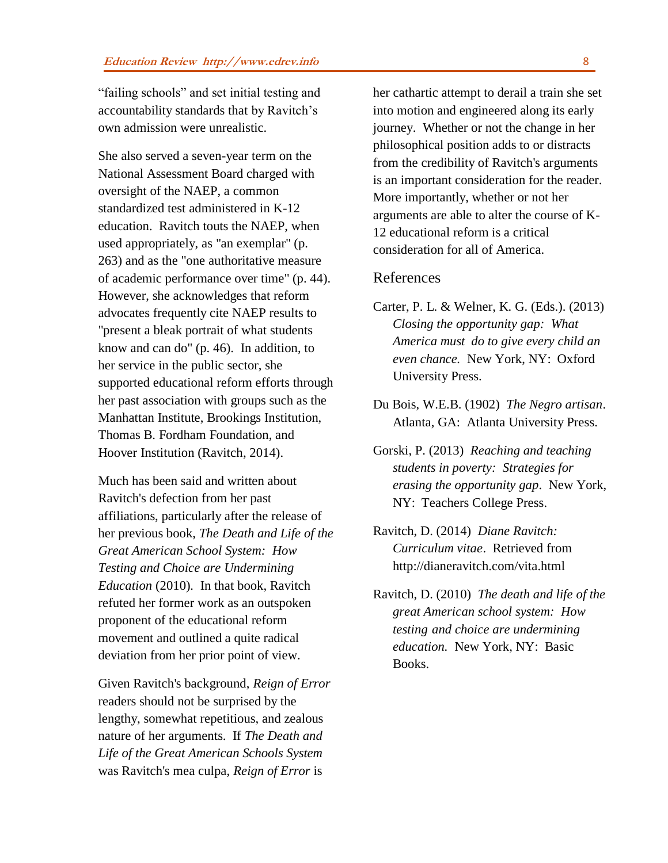"failing schools" and set initial testing and accountability standards that by Ravitch's own admission were unrealistic.

She also served a seven-year term on the National Assessment Board charged with oversight of the NAEP, a common standardized test administered in K-12 education. Ravitch touts the NAEP, when used appropriately, as "an exemplar" (p. 263) and as the "one authoritative measure of academic performance over time" (p. 44). However, she acknowledges that reform advocates frequently cite NAEP results to "present a bleak portrait of what students know and can do" (p. 46). In addition, to her service in the public sector, she supported educational reform efforts through her past association with groups such as the Manhattan Institute, Brookings Institution, Thomas B. Fordham Foundation, and Hoover Institution (Ravitch, 2014).

Much has been said and written about Ravitch's defection from her past affiliations, particularly after the release of her previous book, *The Death and Life of the Great American School System: How Testing and Choice are Undermining Education* (2010)*.* In that book, Ravitch refuted her former work as an outspoken proponent of the educational reform movement and outlined a quite radical deviation from her prior point of view.

Given Ravitch's background, *Reign of Error* readers should not be surprised by the lengthy, somewhat repetitious, and zealous nature of her arguments. If *The Death and Life of the Great American Schools System* was Ravitch's mea culpa, *Reign of Error* is

her cathartic attempt to derail a train she set into motion and engineered along its early journey. Whether or not the change in her philosophical position adds to or distracts from the credibility of Ravitch's arguments is an important consideration for the reader. More importantly, whether or not her arguments are able to alter the course of K-12 educational reform is a critical consideration for all of America.

#### References

- Carter, P. L. & Welner, K. G. (Eds.). (2013) *Closing the opportunity gap: What America must do to give every child an even chance.* New York, NY: Oxford University Press.
- Du Bois, W.E.B. (1902) *The Negro artisan*. Atlanta, GA: Atlanta University Press.
- Gorski, P. (2013) *Reaching and teaching students in poverty: Strategies for erasing the opportunity gap*. New York, NY: Teachers College Press.
- Ravitch, D. (2014) *Diane Ravitch: Curriculum vitae*. Retrieved from http://dianeravitch.com/vita.html
- Ravitch, D. (2010) *The death and life of the great American school system: How testing and choice are undermining education.* New York, NY: Basic Books.